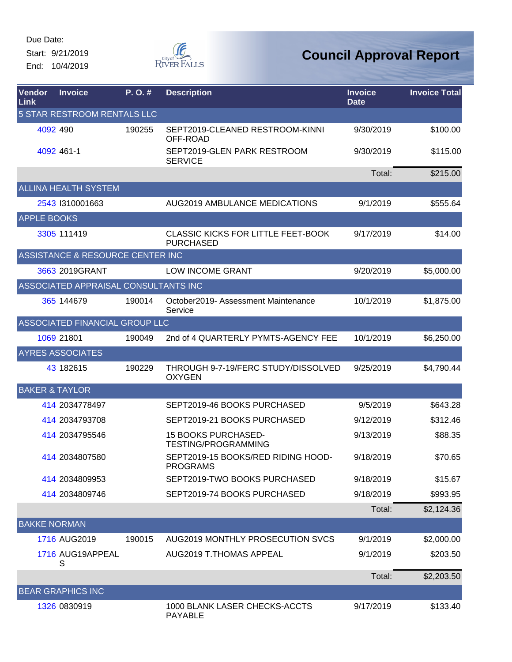Due Date: Start: 9/21/2019

End: 10/4/2019



| Vendor<br>Link      | <b>Invoice</b>                       | P. O. # | <b>Description</b>                                            | <b>Invoice</b><br><b>Date</b> | <b>Invoice Total</b> |
|---------------------|--------------------------------------|---------|---------------------------------------------------------------|-------------------------------|----------------------|
|                     | 5 STAR RESTROOM RENTALS LLC          |         |                                                               |                               |                      |
|                     | 4092 490                             | 190255  | SEPT2019-CLEANED RESTROOM-KINNI<br>OFF-ROAD                   | 9/30/2019                     | \$100.00             |
|                     | 4092 461-1                           |         | SEPT2019-GLEN PARK RESTROOM<br><b>SERVICE</b>                 | 9/30/2019                     | \$115.00             |
|                     |                                      |         |                                                               | Total:                        | \$215.00             |
|                     | <b>ALLINA HEALTH SYSTEM</b>          |         |                                                               |                               |                      |
|                     | 2543 1310001663                      |         | <b>AUG2019 AMBULANCE MEDICATIONS</b>                          | 9/1/2019                      | \$555.64             |
| <b>APPLE BOOKS</b>  |                                      |         |                                                               |                               |                      |
|                     | 3305 111419                          |         | <b>CLASSIC KICKS FOR LITTLE FEET-BOOK</b><br><b>PURCHASED</b> | 9/17/2019                     | \$14.00              |
|                     | ASSISTANCE & RESOURCE CENTER INC     |         |                                                               |                               |                      |
|                     | 3663 2019GRANT                       |         | <b>LOW INCOME GRANT</b>                                       | 9/20/2019                     | \$5,000.00           |
|                     | ASSOCIATED APPRAISAL CONSULTANTS INC |         |                                                               |                               |                      |
|                     | 365 144679                           | 190014  | October2019- Assessment Maintenance<br>Service                | 10/1/2019                     | \$1,875.00           |
|                     | ASSOCIATED FINANCIAL GROUP LLC       |         |                                                               |                               |                      |
|                     | 1069 21801                           | 190049  | 2nd of 4 QUARTERLY PYMTS-AGENCY FEE                           | 10/1/2019                     | \$6,250.00           |
|                     | <b>AYRES ASSOCIATES</b>              |         |                                                               |                               |                      |
|                     | 43 182615                            | 190229  | THROUGH 9-7-19/FERC STUDY/DISSOLVED<br><b>OXYGEN</b>          | 9/25/2019                     | \$4,790.44           |
|                     | <b>BAKER &amp; TAYLOR</b>            |         |                                                               |                               |                      |
|                     | 414 2034778497                       |         | SEPT2019-46 BOOKS PURCHASED                                   | 9/5/2019                      | \$643.28             |
|                     | 414 2034793708                       |         | SEPT2019-21 BOOKS PURCHASED                                   | 9/12/2019                     | \$312.46             |
|                     | 414 2034795546                       |         | <b>15 BOOKS PURCHASED-</b><br>TESTING/PROGRAMMING             | 9/13/2019                     | \$88.35              |
|                     | 414 2034807580                       |         | SEPT2019-15 BOOKS/RED RIDING HOOD-<br><b>PROGRAMS</b>         | 9/18/2019                     | \$70.65              |
|                     | 414 2034809953                       |         | SEPT2019-TWO BOOKS PURCHASED                                  | 9/18/2019                     | \$15.67              |
|                     | 414 2034809746                       |         | SEPT2019-74 BOOKS PURCHASED                                   | 9/18/2019                     | \$993.95             |
|                     |                                      |         |                                                               | Total:                        | \$2,124.36           |
| <b>BAKKE NORMAN</b> |                                      |         |                                                               |                               |                      |
|                     | 1716 AUG2019                         | 190015  | AUG2019 MONTHLY PROSECUTION SVCS                              | 9/1/2019                      | \$2,000.00           |
|                     | 1716 AUG19APPEAL                     |         | AUG2019 T.THOMAS APPEAL                                       | 9/1/2019                      | \$203.50             |
|                     | S                                    |         |                                                               | Total:                        | \$2,203.50           |
|                     | <b>BEAR GRAPHICS INC</b>             |         |                                                               |                               |                      |
|                     | 1326 0830919                         |         | 1000 BLANK LASER CHECKS-ACCTS<br>PAYABLE                      | 9/17/2019                     | \$133.40             |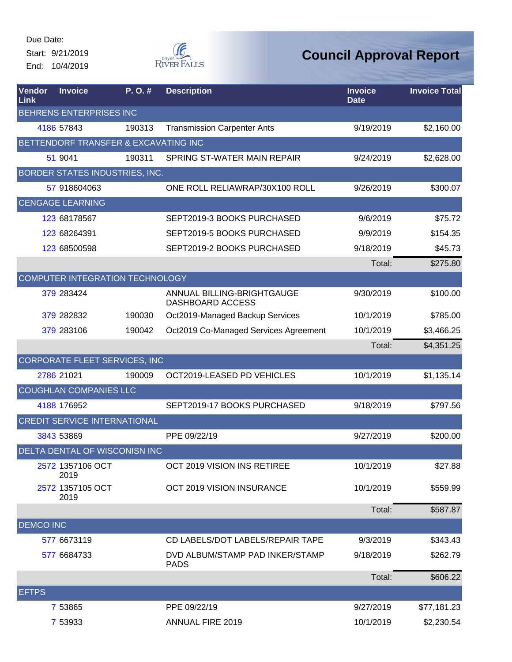Start: 9/21/2019 End: 10/4/2019



| Vendor<br>Link   | <b>Invoice</b>                       | P.O.#  | <b>Description</b>                             | <b>Invoice</b><br><b>Date</b> | <b>Invoice Total</b> |
|------------------|--------------------------------------|--------|------------------------------------------------|-------------------------------|----------------------|
|                  | <b>BEHRENS ENTERPRISES INC</b>       |        |                                                |                               |                      |
|                  | 4186 57843                           | 190313 | <b>Transmission Carpenter Ants</b>             | 9/19/2019                     | \$2,160.00           |
|                  | BETTENDORF TRANSFER & EXCAVATING INC |        |                                                |                               |                      |
|                  | 51 9041                              | 190311 | SPRING ST-WATER MAIN REPAIR                    | 9/24/2019                     | \$2,628.00           |
|                  | BORDER STATES INDUSTRIES, INC.       |        |                                                |                               |                      |
|                  | 57 918604063                         |        | ONE ROLL RELIAWRAP/30X100 ROLL                 | 9/26/2019                     | \$300.07             |
|                  | <b>CENGAGE LEARNING</b>              |        |                                                |                               |                      |
|                  | 123 68178567                         |        | SEPT2019-3 BOOKS PURCHASED                     | 9/6/2019                      | \$75.72              |
|                  | 123 68264391                         |        | SEPT2019-5 BOOKS PURCHASED                     | 9/9/2019                      | \$154.35             |
|                  | 123 68500598                         |        | SEPT2019-2 BOOKS PURCHASED                     | 9/18/2019                     | \$45.73              |
|                  |                                      |        |                                                | Total:                        | \$275.80             |
|                  | COMPUTER INTEGRATION TECHNOLOGY      |        |                                                |                               |                      |
|                  | 379 283424                           |        | ANNUAL BILLING-BRIGHTGAUGE<br>DASHBOARD ACCESS | 9/30/2019                     | \$100.00             |
|                  | 379 282832                           | 190030 | Oct2019-Managed Backup Services                | 10/1/2019                     | \$785.00             |
|                  | 379 283106                           | 190042 | Oct2019 Co-Managed Services Agreement          | 10/1/2019                     | \$3,466.25           |
|                  |                                      |        |                                                | Total:                        | \$4,351.25           |
|                  | CORPORATE FLEET SERVICES, INC        |        |                                                |                               |                      |
|                  | 2786 21021                           | 190009 | OCT2019-LEASED PD VEHICLES                     | 10/1/2019                     | \$1,135.14           |
|                  | <b>COUGHLAN COMPANIES LLC</b>        |        |                                                |                               |                      |
|                  | 4188 176952                          |        | SEPT2019-17 BOOKS PURCHASED                    | 9/18/2019                     | \$797.56             |
|                  | <b>CREDIT SERVICE INTERNATIONAL</b>  |        |                                                |                               |                      |
|                  | 3843 53869                           |        | PPE 09/22/19                                   | 9/27/2019                     | \$200.00             |
|                  | DELTA DENTAL OF WISCONISN INC        |        |                                                |                               |                      |
|                  | 2572 1357106 OCT<br>2019             |        | OCT 2019 VISION INS RETIREE                    | 10/1/2019                     | \$27.88              |
|                  | 2572 1357105 OCT<br>2019             |        | OCT 2019 VISION INSURANCE                      | 10/1/2019                     | \$559.99             |
|                  |                                      |        |                                                | Total:                        | \$587.87             |
| <b>DEMCO INC</b> |                                      |        |                                                |                               |                      |
|                  | 577 6673119                          |        | CD LABELS/DOT LABELS/REPAIR TAPE               | 9/3/2019                      | \$343.43             |
|                  | 577 6684733                          |        | DVD ALBUM/STAMP PAD INKER/STAMP<br><b>PADS</b> | 9/18/2019                     | \$262.79             |
|                  |                                      |        |                                                | Total:                        | \$606.22             |
| <b>EFTPS</b>     |                                      |        |                                                |                               |                      |
|                  | 7 53865                              |        | PPE 09/22/19                                   | 9/27/2019                     | \$77,181.23          |
|                  | 7 53933                              |        | <b>ANNUAL FIRE 2019</b>                        | 10/1/2019                     | \$2,230.54           |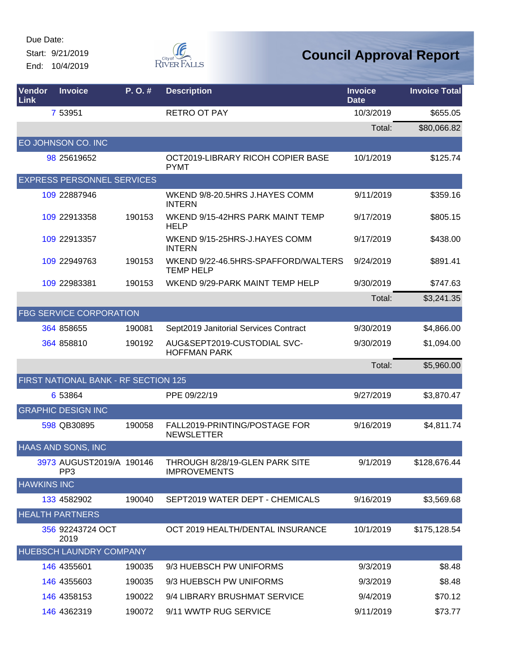Start: 9/21/2019 End: 10/4/2019



| Vendor<br><b>Link</b> | <b>Invoice</b>                              | P.O.#  | <b>Description</b>                                      | <b>Invoice</b><br><b>Date</b> | <b>Invoice Total</b> |
|-----------------------|---------------------------------------------|--------|---------------------------------------------------------|-------------------------------|----------------------|
|                       | 7 53951                                     |        | <b>RETRO OT PAY</b>                                     | 10/3/2019                     | \$655.05             |
|                       |                                             |        |                                                         | Total:                        | \$80,066.82          |
|                       | EO JOHNSON CO. INC                          |        |                                                         |                               |                      |
|                       | 98 25619652                                 |        | OCT2019-LIBRARY RICOH COPIER BASE<br><b>PYMT</b>        | 10/1/2019                     | \$125.74             |
|                       | <b>EXPRESS PERSONNEL SERVICES</b>           |        |                                                         |                               |                      |
|                       | 109 22887946                                |        | WKEND 9/8-20.5HRS J.HAYES COMM<br><b>INTERN</b>         | 9/11/2019                     | \$359.16             |
|                       | 109 22913358                                | 190153 | WKEND 9/15-42HRS PARK MAINT TEMP<br><b>HELP</b>         | 9/17/2019                     | \$805.15             |
|                       | 109 22913357                                |        | WKEND 9/15-25HRS-J.HAYES COMM<br><b>INTERN</b>          | 9/17/2019                     | \$438.00             |
|                       | 109 22949763                                | 190153 | WKEND 9/22-46.5HRS-SPAFFORD/WALTERS<br><b>TEMP HELP</b> | 9/24/2019                     | \$891.41             |
|                       | 109 22983381                                | 190153 | WKEND 9/29-PARK MAINT TEMP HELP                         | 9/30/2019                     | \$747.63             |
|                       |                                             |        |                                                         | Total:                        | \$3,241.35           |
|                       | <b>FBG SERVICE CORPORATION</b>              |        |                                                         |                               |                      |
|                       | 364 858655                                  | 190081 | Sept2019 Janitorial Services Contract                   | 9/30/2019                     | \$4,866.00           |
|                       | 364 858810                                  | 190192 | AUG&SEPT2019-CUSTODIAL SVC-<br><b>HOFFMAN PARK</b>      | 9/30/2019                     | \$1,094.00           |
|                       |                                             |        |                                                         | Total:                        | \$5,960.00           |
|                       | FIRST NATIONAL BANK - RF SECTION 125        |        |                                                         |                               |                      |
|                       | 6 53864                                     |        | PPE 09/22/19                                            | 9/27/2019                     | \$3,870.47           |
|                       | <b>GRAPHIC DESIGN INC</b>                   |        |                                                         |                               |                      |
|                       | 598 QB30895                                 | 190058 | FALL2019-PRINTING/POSTAGE FOR<br><b>NEWSLETTER</b>      | 9/16/2019                     | \$4,811.74           |
|                       | <b>HAAS AND SONS, INC</b>                   |        |                                                         |                               |                      |
|                       | 3973 AUGUST2019/A 190146<br>PP <sub>3</sub> |        | THROUGH 8/28/19-GLEN PARK SITE<br><b>IMPROVEMENTS</b>   | 9/1/2019                      | \$128,676.44         |
| <b>HAWKINS INC</b>    |                                             |        |                                                         |                               |                      |
|                       | 133 4582902                                 | 190040 | SEPT2019 WATER DEPT - CHEMICALS                         | 9/16/2019                     | \$3,569.68           |
|                       | <b>HEALTH PARTNERS</b>                      |        |                                                         |                               |                      |
|                       | 356 92243724 OCT<br>2019                    |        | OCT 2019 HEALTH/DENTAL INSURANCE                        | 10/1/2019                     | \$175,128.54         |
|                       | <b>HUEBSCH LAUNDRY COMPANY</b>              |        |                                                         |                               |                      |
|                       | 146 4355601                                 | 190035 | 9/3 HUEBSCH PW UNIFORMS                                 | 9/3/2019                      | \$8.48               |
|                       | 146 4355603                                 | 190035 | 9/3 HUEBSCH PW UNIFORMS                                 | 9/3/2019                      | \$8.48               |
|                       | 146 4358153                                 | 190022 | 9/4 LIBRARY BRUSHMAT SERVICE                            | 9/4/2019                      | \$70.12              |
|                       | 146 4362319                                 | 190072 | 9/11 WWTP RUG SERVICE                                   | 9/11/2019                     | \$73.77              |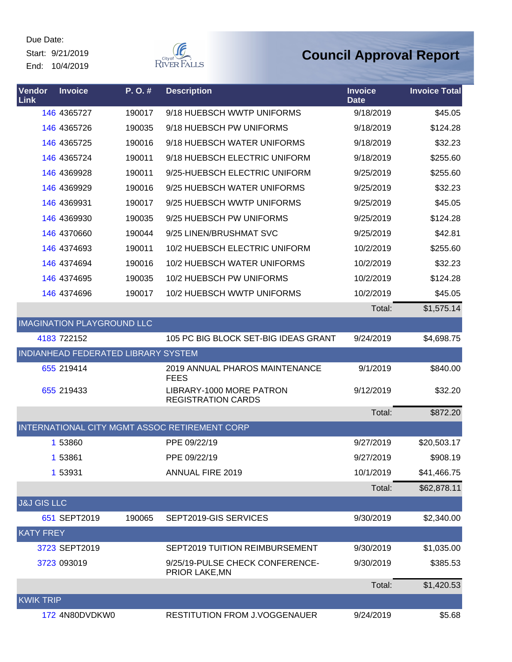Due Date: Start: 9/21/2019

End: 10/4/2019



| Vendor<br>Link         | <b>Invoice</b>                      | P.O.#  | <b>Description</b>                                    | <b>Invoice</b><br><b>Date</b> | <b>Invoice Total</b> |
|------------------------|-------------------------------------|--------|-------------------------------------------------------|-------------------------------|----------------------|
|                        | 146 4365727                         | 190017 | 9/18 HUEBSCH WWTP UNIFORMS                            | 9/18/2019                     | \$45.05              |
|                        | 146 4365726                         | 190035 | 9/18 HUEBSCH PW UNIFORMS                              | 9/18/2019                     | \$124.28             |
|                        | 146 4365725                         | 190016 | 9/18 HUEBSCH WATER UNIFORMS                           | 9/18/2019                     | \$32.23              |
|                        | 146 4365724                         | 190011 | 9/18 HUEBSCH ELECTRIC UNIFORM                         | 9/18/2019                     | \$255.60             |
|                        | 146 4369928                         | 190011 | 9/25-HUEBSCH ELECTRIC UNIFORM                         | 9/25/2019                     | \$255.60             |
|                        | 146 4369929                         | 190016 | 9/25 HUEBSCH WATER UNIFORMS                           | 9/25/2019                     | \$32.23              |
|                        | 146 4369931                         | 190017 | 9/25 HUEBSCH WWTP UNIFORMS                            | 9/25/2019                     | \$45.05              |
|                        | 146 4369930                         | 190035 | 9/25 HUEBSCH PW UNIFORMS                              | 9/25/2019                     | \$124.28             |
|                        | 146 4370660                         | 190044 | 9/25 LINEN/BRUSHMAT SVC                               | 9/25/2019                     | \$42.81              |
|                        | 146 4374693                         | 190011 | 10/2 HUEBSCH ELECTRIC UNIFORM                         | 10/2/2019                     | \$255.60             |
|                        | 146 4374694                         | 190016 | <b>10/2 HUEBSCH WATER UNIFORMS</b>                    | 10/2/2019                     | \$32.23              |
|                        | 146 4374695                         | 190035 | 10/2 HUEBSCH PW UNIFORMS                              | 10/2/2019                     | \$124.28             |
|                        | 146 4374696                         | 190017 | 10/2 HUEBSCH WWTP UNIFORMS                            | 10/2/2019                     | \$45.05              |
|                        |                                     |        |                                                       | Total:                        | \$1,575.14           |
|                        | <b>IMAGINATION PLAYGROUND LLC</b>   |        |                                                       |                               |                      |
|                        | 4183 722152                         |        | 105 PC BIG BLOCK SET-BIG IDEAS GRANT                  | 9/24/2019                     | \$4,698.75           |
|                        | INDIANHEAD FEDERATED LIBRARY SYSTEM |        |                                                       |                               |                      |
|                        | 655 219414                          |        | 2019 ANNUAL PHAROS MAINTENANCE<br><b>FEES</b>         | 9/1/2019                      | \$840.00             |
|                        | 655 219433                          |        | LIBRARY-1000 MORE PATRON<br><b>REGISTRATION CARDS</b> | 9/12/2019                     | \$32.20              |
|                        |                                     |        |                                                       | Total:                        | \$872.20             |
|                        |                                     |        | INTERNATIONAL CITY MGMT ASSOC RETIREMENT CORP         |                               |                      |
|                        | 1 53860                             |        | PPE 09/22/19                                          | 9/27/2019                     | \$20,503.17          |
|                        | 1 53861                             |        | PPE 09/22/19                                          | 9/27/2019                     | \$908.19             |
|                        | 1 53931                             |        | <b>ANNUAL FIRE 2019</b>                               | 10/1/2019                     | \$41,466.75          |
|                        |                                     |        |                                                       | Total:                        | \$62,878.11          |
| <b>J&amp;J GIS LLC</b> |                                     |        |                                                       |                               |                      |
|                        | 651 SEPT2019                        | 190065 | SEPT2019-GIS SERVICES                                 | 9/30/2019                     | \$2,340.00           |
| <b>KATY FREY</b>       |                                     |        |                                                       |                               |                      |
|                        | 3723 SEPT2019                       |        | SEPT2019 TUITION REIMBURSEMENT                        | 9/30/2019                     | \$1,035.00           |
|                        | 3723 093019                         |        | 9/25/19-PULSE CHECK CONFERENCE-<br>PRIOR LAKE, MN     | 9/30/2019                     | \$385.53             |
|                        |                                     |        |                                                       | Total:                        | \$1,420.53           |
| <b>KWIKTRIP</b>        |                                     |        |                                                       |                               |                      |
|                        | 172 4N80DVDKW0                      |        | RESTITUTION FROM J.VOGGENAUER                         | 9/24/2019                     | \$5.68               |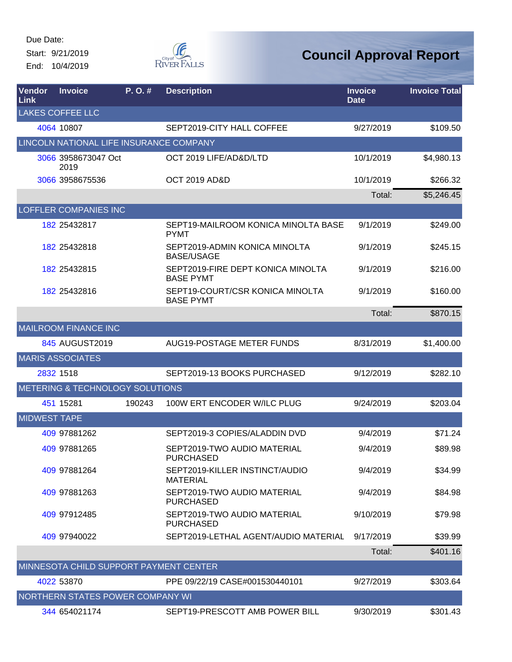Start: 9/21/2019 End: 10/4/2019



| Vendor<br>Link      | <b>Invoice</b>                          | P. O. # | <b>Description</b>                                    | <b>Invoice</b><br><b>Date</b> | <b>Invoice Total</b> |
|---------------------|-----------------------------------------|---------|-------------------------------------------------------|-------------------------------|----------------------|
|                     | <b>LAKES COFFEE LLC</b>                 |         |                                                       |                               |                      |
|                     | 4064 10807                              |         | SEPT2019-CITY HALL COFFEE                             | 9/27/2019                     | \$109.50             |
|                     | LINCOLN NATIONAL LIFE INSURANCE COMPANY |         |                                                       |                               |                      |
|                     | 3066 3958673047 Oct<br>2019             |         | OCT 2019 LIFE/AD&D/LTD                                | 10/1/2019                     | \$4,980.13           |
|                     | 3066 3958675536                         |         | <b>OCT 2019 AD&amp;D</b>                              | 10/1/2019                     | \$266.32             |
|                     |                                         |         |                                                       | Total:                        | \$5,246.45           |
|                     | <b>LOFFLER COMPANIES INC</b>            |         |                                                       |                               |                      |
|                     | 182 25432817                            |         | SEPT19-MAILROOM KONICA MINOLTA BASE<br><b>PYMT</b>    | 9/1/2019                      | \$249.00             |
|                     | 182 25432818                            |         | SEPT2019-ADMIN KONICA MINOLTA<br><b>BASE/USAGE</b>    | 9/1/2019                      | \$245.15             |
|                     | 182 25432815                            |         | SEPT2019-FIRE DEPT KONICA MINOLTA<br><b>BASE PYMT</b> | 9/1/2019                      | \$216.00             |
|                     | 182 25432816                            |         | SEPT19-COURT/CSR KONICA MINOLTA<br><b>BASE PYMT</b>   | 9/1/2019                      | \$160.00             |
|                     |                                         |         |                                                       | Total:                        | \$870.15             |
|                     | <b>MAILROOM FINANCE INC</b>             |         |                                                       |                               |                      |
|                     | 845 AUGUST2019                          |         | AUG19-POSTAGE METER FUNDS                             | 8/31/2019                     | \$1,400.00           |
|                     | <b>MARIS ASSOCIATES</b>                 |         |                                                       |                               |                      |
|                     | 2832 1518                               |         | SEPT2019-13 BOOKS PURCHASED                           | 9/12/2019                     | \$282.10             |
|                     | METERING & TECHNOLOGY SOLUTIONS         |         |                                                       |                               |                      |
|                     | 451 15281                               | 190243  | 100W ERT ENCODER W/ILC PLUG                           | 9/24/2019                     | \$203.04             |
| <b>MIDWEST TAPE</b> |                                         |         |                                                       |                               |                      |
|                     | 409 97881262                            |         | SEPT2019-3 COPIES/ALADDIN DVD                         | 9/4/2019                      | \$71.24              |
|                     | 409 97881265                            |         | SEPT2019-TWO AUDIO MATERIAL<br><b>PURCHASED</b>       | 9/4/2019                      | \$89.98              |
|                     | 409 97881264                            |         | SEPT2019-KILLER INSTINCT/AUDIO<br><b>MATERIAL</b>     | 9/4/2019                      | \$34.99              |
|                     | 409 97881263                            |         | SEPT2019-TWO AUDIO MATERIAL<br><b>PURCHASED</b>       | 9/4/2019                      | \$84.98              |
|                     | 409 97912485                            |         | SEPT2019-TWO AUDIO MATERIAL<br><b>PURCHASED</b>       | 9/10/2019                     | \$79.98              |
|                     | 409 97940022                            |         | SEPT2019-LETHAL AGENT/AUDIO MATERIAL                  | 9/17/2019                     | \$39.99              |
|                     |                                         |         |                                                       | Total:                        | \$401.16             |
|                     | MINNESOTA CHILD SUPPORT PAYMENT CENTER  |         |                                                       |                               |                      |
|                     | 4022 53870                              |         | PPE 09/22/19 CASE#001530440101                        | 9/27/2019                     | \$303.64             |
|                     | NORTHERN STATES POWER COMPANY WI        |         |                                                       |                               |                      |
|                     | 344 654021174                           |         | SEPT19-PRESCOTT AMB POWER BILL                        | 9/30/2019                     | \$301.43             |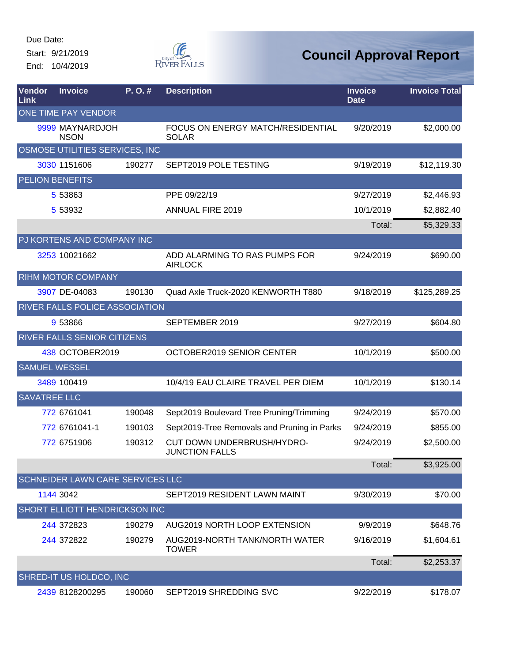Start: 9/21/2019 End: 10/4/2019



| Vendor<br>Link       | <b>Invoice</b>                   | P. O. # | <b>Description</b>                                  | <b>Invoice</b><br><b>Date</b> | <b>Invoice Total</b> |
|----------------------|----------------------------------|---------|-----------------------------------------------------|-------------------------------|----------------------|
|                      | ONE TIME PAY VENDOR              |         |                                                     |                               |                      |
|                      | 9999 MAYNARDJOH<br><b>NSON</b>   |         | FOCUS ON ENERGY MATCH/RESIDENTIAL<br><b>SOLAR</b>   | 9/20/2019                     | \$2,000.00           |
|                      | OSMOSE UTILITIES SERVICES, INC   |         |                                                     |                               |                      |
|                      | 3030 1151606                     | 190277  | SEPT2019 POLE TESTING                               | 9/19/2019                     | \$12,119.30          |
|                      | PELION BENEFITS                  |         |                                                     |                               |                      |
|                      | 5 53863                          |         | PPE 09/22/19                                        | 9/27/2019                     | \$2,446.93           |
|                      | 5 53932                          |         | <b>ANNUAL FIRE 2019</b>                             | 10/1/2019                     | \$2,882.40           |
|                      |                                  |         |                                                     | Total:                        | \$5,329.33           |
|                      | PJ KORTENS AND COMPANY INC       |         |                                                     |                               |                      |
|                      | 3253 10021662                    |         | ADD ALARMING TO RAS PUMPS FOR<br><b>AIRLOCK</b>     | 9/24/2019                     | \$690.00             |
|                      | <b>RIHM MOTOR COMPANY</b>        |         |                                                     |                               |                      |
|                      | 3907 DE-04083                    | 190130  | Quad Axle Truck-2020 KENWORTH T880                  | 9/18/2019                     | \$125,289.25         |
|                      | RIVER FALLS POLICE ASSOCIATION   |         |                                                     |                               |                      |
|                      | 9 53866                          |         | SEPTEMBER 2019                                      | 9/27/2019                     | \$604.80             |
|                      | RIVER FALLS SENIOR CITIZENS      |         |                                                     |                               |                      |
|                      | 438 OCTOBER2019                  |         | OCTOBER2019 SENIOR CENTER                           | 10/1/2019                     | \$500.00             |
| <b>SAMUEL WESSEL</b> |                                  |         |                                                     |                               |                      |
|                      | 3489 100419                      |         | 10/4/19 EAU CLAIRE TRAVEL PER DIEM                  | 10/1/2019                     | \$130.14             |
| <b>SAVATREE LLC</b>  |                                  |         |                                                     |                               |                      |
|                      | 772 6761041                      | 190048  | Sept2019 Boulevard Tree Pruning/Trimming            | 9/24/2019                     | \$570.00             |
|                      | 772 6761041-1                    | 190103  | Sept2019-Tree Removals and Pruning in Parks         | 9/24/2019                     | \$855.00             |
|                      | 772 6751906                      | 190312  | CUT DOWN UNDERBRUSH/HYDRO-<br><b>JUNCTION FALLS</b> | 9/24/2019                     | \$2,500.00           |
|                      |                                  |         |                                                     | Total:                        | \$3,925.00           |
|                      | SCHNEIDER LAWN CARE SERVICES LLC |         |                                                     |                               |                      |
|                      | 1144 3042                        |         | SEPT2019 RESIDENT LAWN MAINT                        | 9/30/2019                     | \$70.00              |
|                      | SHORT ELLIOTT HENDRICKSON INC    |         |                                                     |                               |                      |
|                      | 244 372823                       | 190279  | AUG2019 NORTH LOOP EXTENSION                        | 9/9/2019                      | \$648.76             |
|                      | 244 372822                       | 190279  | AUG2019-NORTH TANK/NORTH WATER<br><b>TOWER</b>      | 9/16/2019                     | \$1,604.61           |
|                      |                                  |         |                                                     | Total:                        | \$2,253.37           |
|                      | SHRED-IT US HOLDCO, INC          |         |                                                     |                               |                      |
|                      | 2439 8128200295                  | 190060  | SEPT2019 SHREDDING SVC                              | 9/22/2019                     | \$178.07             |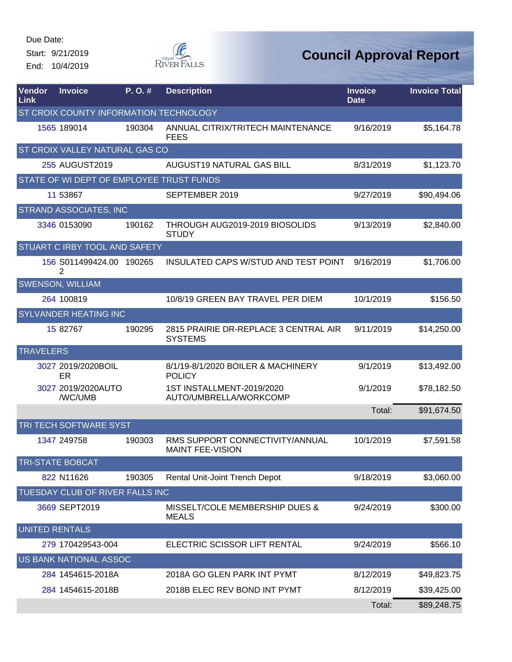Start: 9/21/2019 End: 10/4/2019



| <b>Vendor</b><br>Link | <b>Invoice</b>                           | P.O.#  | <b>Description</b>                                         | <b>Invoice</b><br><b>Date</b> | <b>Invoice Total</b> |
|-----------------------|------------------------------------------|--------|------------------------------------------------------------|-------------------------------|----------------------|
|                       | ST CROIX COUNTY INFORMATION TECHNOLOGY   |        |                                                            |                               |                      |
|                       | 1565 189014                              | 190304 | ANNUAL CITRIX/TRITECH MAINTENANCE<br><b>FEES</b>           | 9/16/2019                     | \$5,164.78           |
|                       | <b>ST CROIX VALLEY NATURAL GAS CO</b>    |        |                                                            |                               |                      |
|                       | 255 AUGUST2019                           |        | <b>AUGUST19 NATURAL GAS BILL</b>                           | 8/31/2019                     | \$1,123.70           |
|                       | STATE OF WI DEPT OF EMPLOYEE TRUST FUNDS |        |                                                            |                               |                      |
|                       | 11 53867                                 |        | SEPTEMBER 2019                                             | 9/27/2019                     | \$90,494.06          |
|                       | <b>STRAND ASSOCIATES, INC</b>            |        |                                                            |                               |                      |
|                       | 3346 0153090                             | 190162 | THROUGH AUG2019-2019 BIOSOLIDS<br><b>STUDY</b>             | 9/13/2019                     | \$2,840.00           |
|                       | STUART C IRBY TOOL AND SAFETY            |        |                                                            |                               |                      |
|                       | 156 S011499424.00 190265<br>2            |        | INSULATED CAPS W/STUD AND TEST POINT                       | 9/16/2019                     | \$1,706.00           |
|                       | <b>SWENSON, WILLIAM</b>                  |        |                                                            |                               |                      |
|                       | 264 100819                               |        | 10/8/19 GREEN BAY TRAVEL PER DIEM                          | 10/1/2019                     | \$156.50             |
|                       | <b>SYLVANDER HEATING INC</b>             |        |                                                            |                               |                      |
|                       | 15 82767                                 | 190295 | 2815 PRAIRIE DR-REPLACE 3 CENTRAL AIR<br><b>SYSTEMS</b>    | 9/11/2019                     | \$14,250.00          |
| <b>TRAVELERS</b>      |                                          |        |                                                            |                               |                      |
|                       | 3027 2019/2020BOIL<br>ER                 |        | 8/1/19-8/1/2020 BOILER & MACHINERY<br><b>POLICY</b>        | 9/1/2019                      | \$13,492.00          |
|                       | 3027 2019/2020AUTO<br>/WC/UMB            |        | 1ST INSTALLMENT-2019/2020<br>AUTO/UMBRELLA/WORKCOMP        | 9/1/2019                      | \$78,182.50          |
|                       |                                          |        |                                                            | Total:                        | \$91,674.50          |
|                       | TRI TECH SOFTWARE SYST                   |        |                                                            |                               |                      |
|                       | 1347 249758                              | 190303 | RMS SUPPORT CONNECTIVITY/ANNUAL<br><b>MAINT FEE-VISION</b> | 10/1/2019                     | \$7,591.58           |
|                       | <b>TRI-STATE BOBCAT</b>                  |        |                                                            |                               |                      |
|                       | 822 N11626                               | 190305 | Rental Unit-Joint Trench Depot                             | 9/18/2019                     | \$3,060.00           |
|                       | TUESDAY CLUB OF RIVER FALLS INC          |        |                                                            |                               |                      |
|                       | 3669 SEPT2019                            |        | MISSELT/COLE MEMBERSHIP DUES &<br><b>MEALS</b>             | 9/24/2019                     | \$300.00             |
| <b>UNITED RENTALS</b> |                                          |        |                                                            |                               |                      |
|                       | 279 170429543-004                        |        | ELECTRIC SCISSOR LIFT RENTAL                               | 9/24/2019                     | \$566.10             |
|                       | US BANK NATIONAL ASSOC                   |        |                                                            |                               |                      |
|                       | 284 1454615-2018A                        |        | 2018A GO GLEN PARK INT PYMT                                | 8/12/2019                     | \$49,823.75          |
|                       | 284 1454615-2018B                        |        | 2018B ELEC REV BOND INT PYMT                               | 8/12/2019                     | \$39,425.00          |
|                       |                                          |        |                                                            | Total:                        | \$89,248.75          |